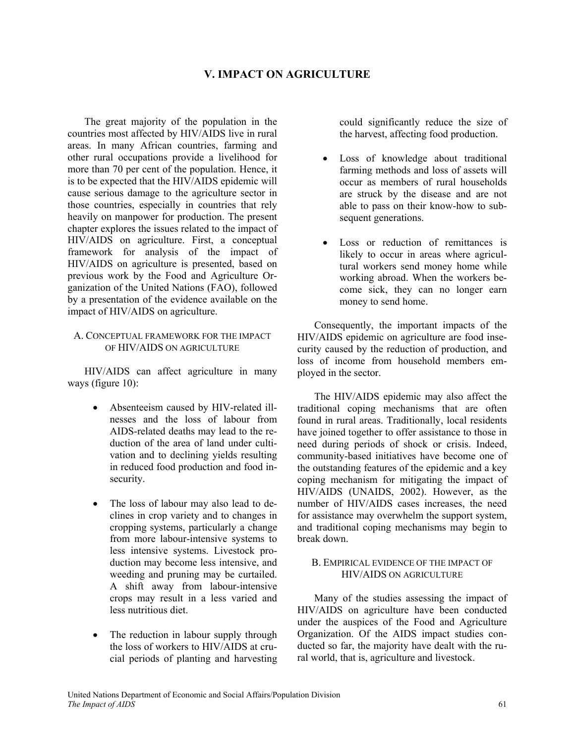# **V. IMPACT ON AGRICULTURE**

The great majority of the population in the countries most affected by HIV/AIDS live in rural areas. In many African countries, farming and other rural occupations provide a livelihood for more than 70 per cent of the population. Hence, it is to be expected that the HIV/AIDS epidemic will cause serious damage to the agriculture sector in those countries, especially in countries that rely heavily on manpower for production. The present chapter explores the issues related to the impact of HIV/AIDS on agriculture. First, a conceptual framework for analysis of the impact of HIV/AIDS on agriculture is presented, based on previous work by the Food and Agriculture Organization of the United Nations (FAO), followed by a presentation of the evidence available on the impact of HIV/AIDS on agriculture.

# A. CONCEPTUAL FRAMEWORK FOR THE IMPACT OF HIV/AIDS ON AGRICULTURE

HIV/AIDS can affect agriculture in many ways (figure 10):

- Absenteeism caused by HIV-related illnesses and the loss of labour from AIDS-related deaths may lead to the reduction of the area of land under cultivation and to declining yields resulting in reduced food production and food insecurity.
- The loss of labour may also lead to declines in crop variety and to changes in cropping systems, particularly a change from more labour-intensive systems to less intensive systems. Livestock production may become less intensive, and weeding and pruning may be curtailed. A shift away from labour-intensive crops may result in a less varied and less nutritious diet.
- The reduction in labour supply through the loss of workers to HIV/AIDS at crucial periods of planting and harvesting

could significantly reduce the size of the harvest, affecting food production.

- Loss of knowledge about traditional farming methods and loss of assets will occur as members of rural households are struck by the disease and are not able to pass on their know-how to subsequent generations.
- Loss or reduction of remittances is likely to occur in areas where agricultural workers send money home while working abroad. When the workers become sick, they can no longer earn money to send home.

Consequently, the important impacts of the HIV/AIDS epidemic on agriculture are food insecurity caused by the reduction of production, and loss of income from household members employed in the sector.

The HIV/AIDS epidemic may also affect the traditional coping mechanisms that are often found in rural areas. Traditionally, local residents have joined together to offer assistance to those in need during periods of shock or crisis. Indeed, community-based initiatives have become one of the outstanding features of the epidemic and a key coping mechanism for mitigating the impact of HIV/AIDS (UNAIDS, 2002). However, as the number of HIV/AIDS cases increases, the need for assistance may overwhelm the support system, and traditional coping mechanisms may begin to break down.

# B. EMPIRICAL EVIDENCE OF THE IMPACT OF HIV/AIDS ON AGRICULTURE

Many of the studies assessing the impact of HIV/AIDS on agriculture have been conducted under the auspices of the Food and Agriculture Organization. Of the AIDS impact studies conducted so far, the majority have dealt with the rural world, that is, agriculture and livestock.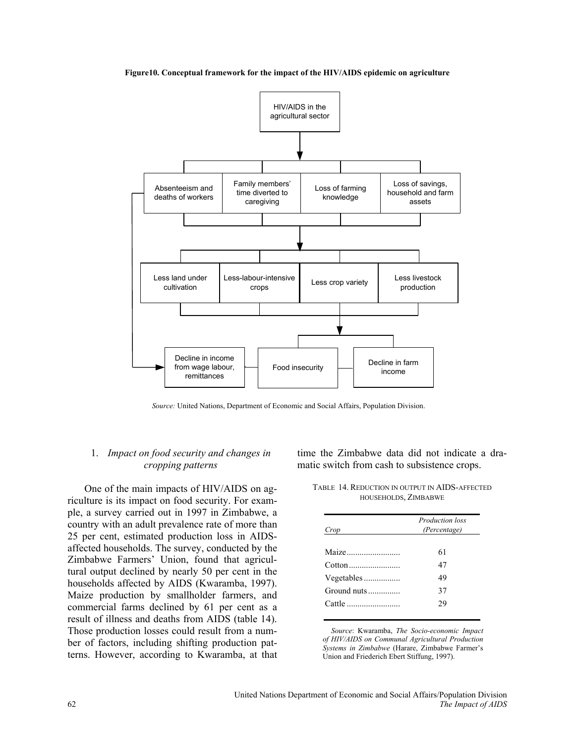**Figure10. Conceptual framework for the impact of the HIV/AIDS epidemic on agriculture**



 *Source:* United Nations, Department of Economic and Social Affairs, Population Division.

# 1. *Impact on food security and changes in cropping patterns*

One of the main impacts of HIV/AIDS on agriculture is its impact on food security. For example, a survey carried out in 1997 in Zimbabwe, a country with an adult prevalence rate of more than 25 per cent, estimated production loss in AIDSaffected households. The survey, conducted by the Zimbabwe Farmers' Union, found that agricultural output declined by nearly 50 per cent in the households affected by AIDS (Kwaramba, 1997). Maize production by smallholder farmers, and commercial farms declined by 61 per cent as a result of illness and deaths from AIDS (table 14). Those production losses could result from a number of factors, including shifting production patterns. However, according to Kwaramba, at that time the Zimbabwe data did not indicate a dramatic switch from cash to subsistence crops.

| TABLE 14. REDUCTION IN OUTPUT IN AIDS-AFFECTED |
|------------------------------------------------|
| HOUSEHOLDS, ZIMBABWE                           |

| Crop          | <b>Production</b> loss<br>(Percentage) |  |  |
|---------------|----------------------------------------|--|--|
|               |                                        |  |  |
| Maize         | 61                                     |  |  |
| Cotton        | 47                                     |  |  |
| Vegetables    | 49                                     |  |  |
| $Ground$ nuts | 37                                     |  |  |
| Cattle        | 29                                     |  |  |

 *Source*: Kwaramba, *The Socio-economic Impact of HIV/AIDS on Communal Agricultural Production Systems in Zimbabwe* (Harare, Zimbabwe Farmer's Union and Friederich Ebert Stiffung, 1997).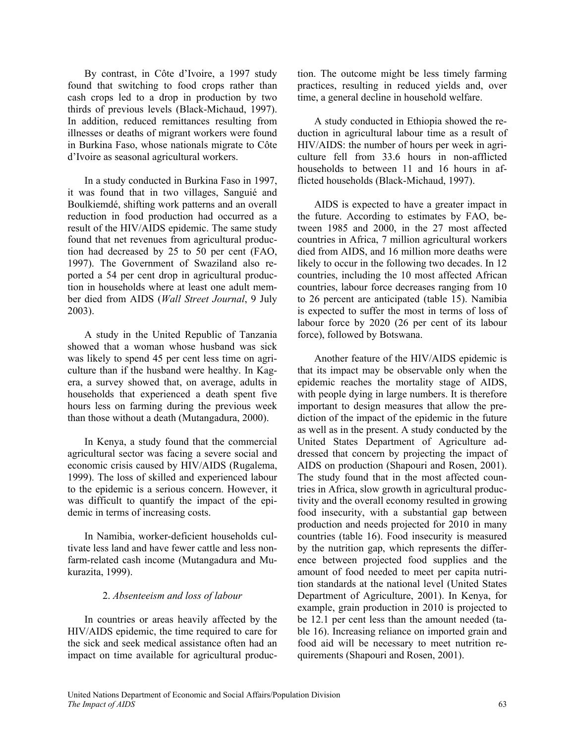By contrast, in Côte d'Ivoire, a 1997 study found that switching to food crops rather than cash crops led to a drop in production by two thirds of previous levels (Black-Michaud, 1997). In addition, reduced remittances resulting from illnesses or deaths of migrant workers were found in Burkina Faso, whose nationals migrate to Côte d'Ivoire as seasonal agricultural workers.

In a study conducted in Burkina Faso in 1997, it was found that in two villages, Sanguié and Boulkiemdé, shifting work patterns and an overall reduction in food production had occurred as a result of the HIV/AIDS epidemic. The same study found that net revenues from agricultural production had decreased by 25 to 50 per cent (FAO, 1997). The Government of Swaziland also reported a 54 per cent drop in agricultural production in households where at least one adult member died from AIDS (*Wall Street Journal*, 9 July 2003).

A study in the United Republic of Tanzania showed that a woman whose husband was sick was likely to spend 45 per cent less time on agriculture than if the husband were healthy. In Kagera, a survey showed that, on average, adults in households that experienced a death spent five hours less on farming during the previous week than those without a death (Mutangadura, 2000).

In Kenya, a study found that the commercial agricultural sector was facing a severe social and economic crisis caused by HIV/AIDS (Rugalema, 1999). The loss of skilled and experienced labour to the epidemic is a serious concern. However, it was difficult to quantify the impact of the epidemic in terms of increasing costs.

In Namibia, worker-deficient households cultivate less land and have fewer cattle and less nonfarm-related cash income (Mutangadura and Mukurazita, 1999).

## 2. *Absenteeism and loss of labour*

In countries or areas heavily affected by the HIV/AIDS epidemic, the time required to care for the sick and seek medical assistance often had an impact on time available for agricultural production. The outcome might be less timely farming practices, resulting in reduced yields and, over time, a general decline in household welfare.

A study conducted in Ethiopia showed the reduction in agricultural labour time as a result of HIV/AIDS: the number of hours per week in agriculture fell from 33.6 hours in non-afflicted households to between 11 and 16 hours in afflicted households (Black-Michaud, 1997).

AIDS is expected to have a greater impact in the future. According to estimates by FAO, between 1985 and 2000, in the 27 most affected countries in Africa, 7 million agricultural workers died from AIDS, and 16 million more deaths were likely to occur in the following two decades. In 12 countries, including the 10 most affected African countries, labour force decreases ranging from 10 to 26 percent are anticipated (table 15). Namibia is expected to suffer the most in terms of loss of labour force by 2020 (26 per cent of its labour force), followed by Botswana.

Another feature of the HIV/AIDS epidemic is that its impact may be observable only when the epidemic reaches the mortality stage of AIDS, with people dying in large numbers. It is therefore important to design measures that allow the prediction of the impact of the epidemic in the future as well as in the present. A study conducted by the United States Department of Agriculture addressed that concern by projecting the impact of AIDS on production (Shapouri and Rosen, 2001). The study found that in the most affected countries in Africa, slow growth in agricultural productivity and the overall economy resulted in growing food insecurity, with a substantial gap between production and needs projected for 2010 in many countries (table 16). Food insecurity is measured by the nutrition gap, which represents the difference between projected food supplies and the amount of food needed to meet per capita nutrition standards at the national level (United States Department of Agriculture, 2001). In Kenya, for example, grain production in 2010 is projected to be 12.1 per cent less than the amount needed (table 16). Increasing reliance on imported grain and food aid will be necessary to meet nutrition requirements (Shapouri and Rosen, 2001).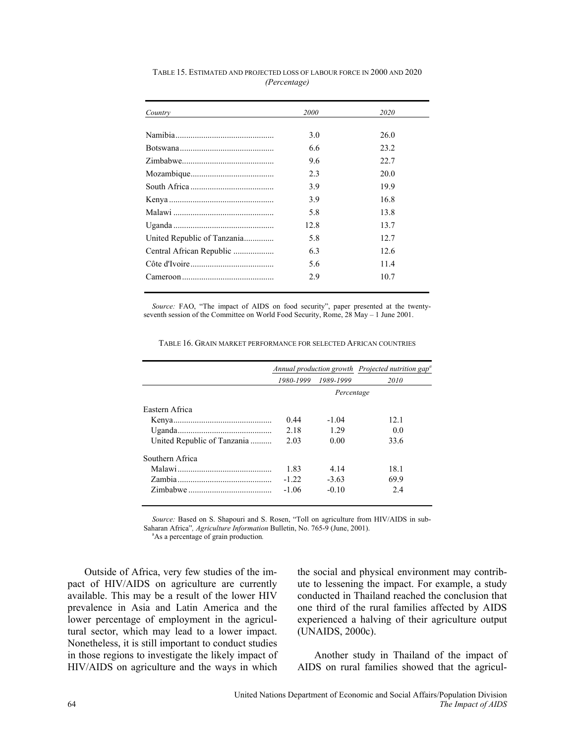| Country                     | <i>2000</i> | 2020 |
|-----------------------------|-------------|------|
|                             |             |      |
|                             | 3.0         | 26.0 |
|                             | 6.6         | 23.2 |
|                             | 9.6         | 22.7 |
|                             | 2.3         | 20.0 |
|                             | 3.9         | 19.9 |
|                             | 3.9         | 16.8 |
|                             | 5.8         | 13.8 |
|                             | 12.8        | 13.7 |
| United Republic of Tanzania | 5.8         | 12.7 |
|                             | 6.3         | 12.6 |
|                             | 5.6         | 11.4 |
|                             | 2.9         | 10.7 |
|                             |             |      |

#### TABLE 15. ESTIMATED AND PROJECTED LOSS OF LABOUR FORCE IN 2000 AND 2020 *(Percentage)*

 *Source:* FAO, "The impact of AIDS on food security", paper presented at the twentyseventh session of the Committee on World Food Security, Rome, 28 May – 1 June 2001.

|                             | Annual production growth Projected nutrition gap <sup>a</sup> |                     |      |  |
|-----------------------------|---------------------------------------------------------------|---------------------|------|--|
|                             |                                                               | 1980-1999 1989-1999 | 2010 |  |
|                             | Percentage                                                    |                     |      |  |
| Eastern Africa              |                                                               |                     |      |  |
|                             | 0.44                                                          | $-1.04$             | 12.1 |  |
|                             | 2.18                                                          | 1 2.9               | 0.0  |  |
| United Republic of Tanzania | 2.03                                                          | 0.00                | 33.6 |  |
| Southern Africa             |                                                               |                     |      |  |
|                             | 1.83                                                          | 4 14                | 18.1 |  |
|                             | $-122$                                                        | $-3.63$             | 69.9 |  |
|                             | $-1.06$                                                       | $-0.10$             | 2.4  |  |

TABLE 16. GRAIN MARKET PERFORMANCE FOR SELECTED AFRICAN COUNTRIES

 *Source:* Based on S. Shapouri and S. Rosen, "Toll on agriculture from HIV/AIDS in sub-Saharan Africa"*, Agriculture Information* Bulletin, No. 765-9 (June, 2001).

a As a percentage of grain production*.* 

Outside of Africa, very few studies of the impact of HIV/AIDS on agriculture are currently available. This may be a result of the lower HIV prevalence in Asia and Latin America and the lower percentage of employment in the agricultural sector, which may lead to a lower impact. Nonetheless, it is still important to conduct studies in those regions to investigate the likely impact of HIV/AIDS on agriculture and the ways in which

the social and physical environment may contribute to lessening the impact. For example, a study conducted in Thailand reached the conclusion that one third of the rural families affected by AIDS experienced a halving of their agriculture output (UNAIDS, 2000c).

Another study in Thailand of the impact of AIDS on rural families showed that the agricul-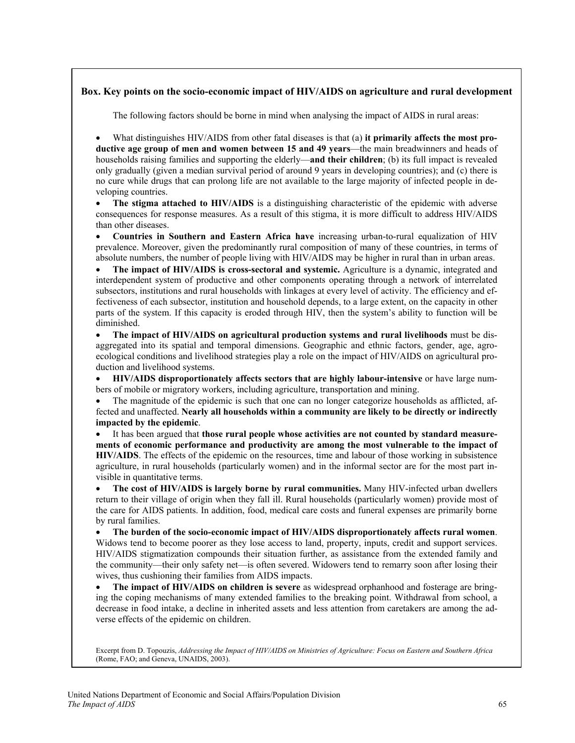# **Box. Key points on the socio-economic impact of HIV/AIDS on agriculture and rural development**

The following factors should be borne in mind when analysing the impact of AIDS in rural areas:

• What distinguishes HIV/AIDS from other fatal diseases is that (a) **it primarily affects the most productive age group of men and women between 15 and 49 years**—the main breadwinners and heads of households raising families and supporting the elderly—**and their children**; (b) its full impact is revealed only gradually (given a median survival period of around 9 years in developing countries); and (c) there is no cure while drugs that can prolong life are not available to the large majority of infected people in developing countries.

• **The stigma attached to HIV/AIDS** is a distinguishing characteristic of the epidemic with adverse consequences for response measures. As a result of this stigma, it is more difficult to address HIV/AIDS than other diseases.

• **Countries in Southern and Eastern Africa have** increasing urban-to-rural equalization of HIV prevalence. Moreover, given the predominantly rural composition of many of these countries, in terms of absolute numbers, the number of people living with HIV/AIDS may be higher in rural than in urban areas.

• **The impact of HIV/AIDS is cross-sectoral and systemic.** Agriculture is a dynamic, integrated and interdependent system of productive and other components operating through a network of interrelated subsectors, institutions and rural households with linkages at every level of activity. The efficiency and effectiveness of each subsector, institution and household depends, to a large extent, on the capacity in other parts of the system. If this capacity is eroded through HIV, then the system's ability to function will be diminished.

• **The impact of HIV/AIDS on agricultural production systems and rural livelihoods** must be disaggregated into its spatial and temporal dimensions. Geographic and ethnic factors, gender, age, agroecological conditions and livelihood strategies play a role on the impact of HIV/AIDS on agricultural production and livelihood systems.

• **HIV/AIDS disproportionately affects sectors that are highly labour-intensive** or have large numbers of mobile or migratory workers, including agriculture, transportation and mining.

The magnitude of the epidemic is such that one can no longer categorize households as afflicted, affected and unaffected. **Nearly all households within a community are likely to be directly or indirectly impacted by the epidemic**.

• It has been argued that **those rural people whose activities are not counted by standard measurements of economic performance and productivity are among the most vulnerable to the impact of HIV/AIDS**. The effects of the epidemic on the resources, time and labour of those working in subsistence agriculture, in rural households (particularly women) and in the informal sector are for the most part invisible in quantitative terms.

• **The cost of HIV/AIDS is largely borne by rural communities.** Many HIV-infected urban dwellers return to their village of origin when they fall ill. Rural households (particularly women) provide most of the care for AIDS patients. In addition, food, medical care costs and funeral expenses are primarily borne by rural families.

• **The burden of the socio-economic impact of HIV/AIDS disproportionately affects rural women**. Widows tend to become poorer as they lose access to land, property, inputs, credit and support services. HIV/AIDS stigmatization compounds their situation further, as assistance from the extended family and the community—their only safety net—is often severed. Widowers tend to remarry soon after losing their wives, thus cushioning their families from AIDS impacts.

• **The impact of HIV/AIDS on children is severe** as widespread orphanhood and fosterage are bringing the coping mechanisms of many extended families to the breaking point. Withdrawal from school, a decrease in food intake, a decline in inherited assets and less attention from caretakers are among the adverse effects of the epidemic on children.

Excerpt from D. Topouzis, *Addressing the Impact of HIV/AIDS on Ministries of Agriculture: Focus on Eastern and Southern Africa* (Rome, FAO; and Geneva, UNAIDS, 2003).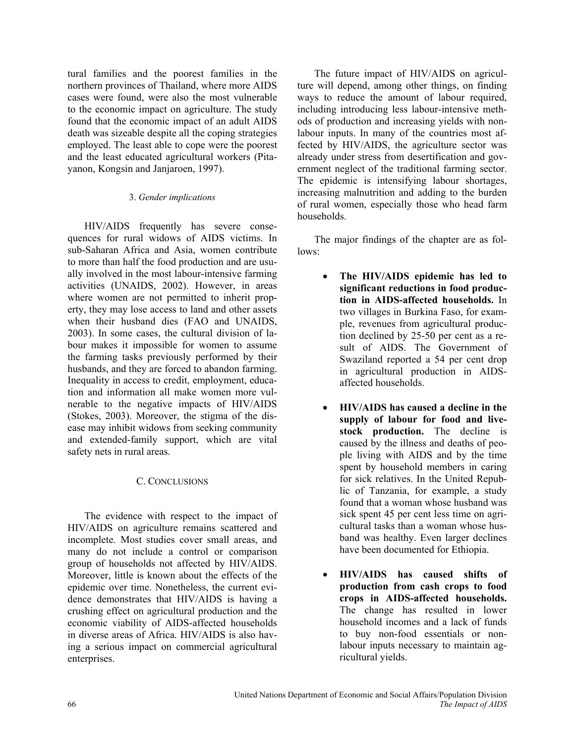tural families and the poorest families in the northern provinces of Thailand, where more AIDS cases were found, were also the most vulnerable to the economic impact on agriculture. The study found that the economic impact of an adult AIDS death was sizeable despite all the coping strategies employed. The least able to cope were the poorest and the least educated agricultural workers (Pitayanon, Kongsin and Janjaroen, 1997).

#### 3. *Gender implications*

HIV/AIDS frequently has severe consequences for rural widows of AIDS victims. In sub-Saharan Africa and Asia, women contribute to more than half the food production and are usually involved in the most labour-intensive farming activities (UNAIDS, 2002). However, in areas where women are not permitted to inherit property, they may lose access to land and other assets when their husband dies (FAO and UNAIDS, 2003). In some cases, the cultural division of labour makes it impossible for women to assume the farming tasks previously performed by their husbands, and they are forced to abandon farming. Inequality in access to credit, employment, education and information all make women more vulnerable to the negative impacts of HIV/AIDS (Stokes, 2003). Moreover, the stigma of the disease may inhibit widows from seeking community and extended-family support, which are vital safety nets in rural areas.

## C. CONCLUSIONS

The evidence with respect to the impact of HIV/AIDS on agriculture remains scattered and incomplete. Most studies cover small areas, and many do not include a control or comparison group of households not affected by HIV/AIDS. Moreover, little is known about the effects of the epidemic over time. Nonetheless, the current evidence demonstrates that HIV/AIDS is having a crushing effect on agricultural production and the economic viability of AIDS-affected households in diverse areas of Africa. HIV/AIDS is also having a serious impact on commercial agricultural enterprises.

The future impact of HIV/AIDS on agriculture will depend, among other things, on finding ways to reduce the amount of labour required, including introducing less labour-intensive methods of production and increasing yields with nonlabour inputs. In many of the countries most affected by HIV/AIDS, the agriculture sector was already under stress from desertification and government neglect of the traditional farming sector. The epidemic is intensifying labour shortages, increasing malnutrition and adding to the burden of rural women, especially those who head farm households.

The major findings of the chapter are as follows:

- **The HIV/AIDS epidemic has led to significant reductions in food production in AIDS-affected households.** In two villages in Burkina Faso, for example, revenues from agricultural production declined by 25-50 per cent as a result of AIDS. The Government of Swaziland reported a 54 per cent drop in agricultural production in AIDSaffected households.
- **HIV/AIDS has caused a decline in the supply of labour for food and livestock production.** The decline is caused by the illness and deaths of people living with AIDS and by the time spent by household members in caring for sick relatives. In the United Republic of Tanzania, for example, a study found that a woman whose husband was sick spent 45 per cent less time on agricultural tasks than a woman whose husband was healthy. Even larger declines have been documented for Ethiopia.
- **HIV/AIDS has caused shifts of production from cash crops to food crops in AIDS-affected households.**  The change has resulted in lower household incomes and a lack of funds to buy non-food essentials or nonlabour inputs necessary to maintain agricultural yields.